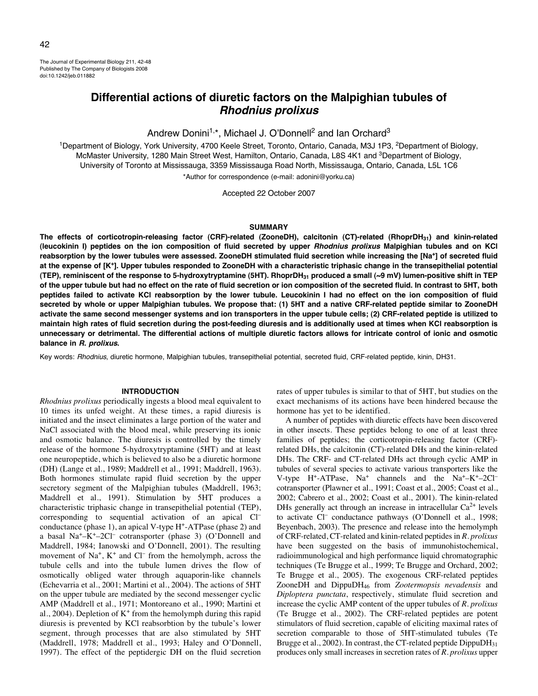The Journal of Experimental Biology 211, 42-48 Published by The Company of Biologists 2008 doi:10.1242/jeb.011882

# **Differential actions of diuretic factors on the Malpighian tubules of Rhodnius prolixus**

Andrew Donini<sup>1,\*</sup>, Michael J. O'Donnell<sup>2</sup> and Ian Orchard<sup>3</sup>

<sup>1</sup>Department of Biology, York University, 4700 Keele Street, Toronto, Ontario, Canada, M3J 1P3, <sup>2</sup>Department of Biology, McMaster University, 1280 Main Street West, Hamilton, Ontario, Canada, L8S 4K1 and <sup>3</sup>Department of Biology, University of Toronto at Mississauga, 3359 Mississauga Road North, Mississauga, Ontario, Canada, L5L 1C6 \*Author for correspondence (e-mail: adonini@yorku.ca)

Accepted 22 October 2007

#### **SUMMARY**

**The effects of corticotropin-releasing factor (CRF)-related (ZooneDH), calcitonin (CT)-related (RhoprDH31) and kinin-related (leucokinin I) peptides on the ion composition of fluid secreted by upper Rhodnius prolixus Malpighian tubules and on KCl reabsorption by the lower tubules were assessed. ZooneDH stimulated fluid secretion while increasing the [Na+] of secreted fluid at the expense of [K+]. Upper tubules responded to ZooneDH with a characteristic triphasic change in the transepithelial potential (TEP), reminiscent of the response to 5-hydroxytryptamine (5HT). RhoprDH31 produced a small (~9·mV) lumen-positive shift in TEP of the upper tubule but had no effect on the rate of fluid secretion or ion composition of the secreted fluid. In contrast to 5HT, both peptides failed to activate KCl reabsorption by the lower tubule. Leucokinin I had no effect on the ion composition of fluid secreted by whole or upper Malpighian tubules. We propose that: (1) 5HT and a native CRF-related peptide similar to ZooneDH activate the same second messenger systems and ion transporters in the upper tubule cells; (2) CRF-related peptide is utilized to maintain high rates of fluid secretion during the post-feeding diuresis and is additionally used at times when KCl reabsorption is unnecessary or detrimental. The differential actions of multiple diuretic factors allows for intricate control of ionic and osmotic balance in R. prolixus.**

Key words: Rhodnius, diuretic hormone, Malpighian tubules, transepithelial potential, secreted fluid, CRF-related peptide, kinin, DH31.

#### **INTRODUCTION**

*Rhodnius prolixus* periodically ingests a blood meal equivalent to 10 times its unfed weight. At these times, a rapid diuresis is initiated and the insect eliminates a large portion of the water and NaCl associated with the blood meal, while preserving its ionic and osmotic balance. The diuresis is controlled by the timely release of the hormone 5-hydroxytryptamine (5HT) and at least one neuropeptide, which is believed to also be a diuretic hormone (DH) (Lange et al., 1989; Maddrell et al., 1991; Maddrell, 1963). Both hormones stimulate rapid fluid secretion by the upper secretory segment of the Malpighian tubules (Maddrell, 1963; Maddrell et al., 1991). Stimulation by 5HT produces a characteristic triphasic change in transepithelial potential (TEP), corresponding to sequential activation of an apical Cl– conductance (phase 1), an apical V-type  $H^+$ -ATPase (phase 2) and a basal Na+–K+–2Cl– cotransporter (phase 3) (O'Donnell and Maddrell, 1984; Ianowski and O'Donnell, 2001). The resulting movement of  $Na^+$ ,  $K^+$  and  $Cl^-$  from the hemolymph, across the tubule cells and into the tubule lumen drives the flow of osmotically obliged water through aquaporin-like channels (Echevarria et al., 2001; Martini et al., 2004). The actions of 5HT on the upper tubule are mediated by the second messenger cyclic AMP (Maddrell et al., 1971; Montoreano et al., 1990; Martini et al., 2004). Depletion of  $K^+$  from the hemolymph during this rapid diuresis is prevented by KCl reabsorbtion by the tubule's lower segment, through processes that are also stimulated by 5HT (Maddrell, 1978; Maddrell et al., 1993; Haley and O'Donnell, 1997). The effect of the peptidergic DH on the fluid secretion

rates of upper tubules is similar to that of 5HT, but studies on the exact mechanisms of its actions have been hindered because the hormone has yet to be identified.

A number of peptides with diuretic effects have been discovered in other insects. These peptides belong to one of at least three families of peptides; the corticotropin-releasing factor (CRF) related DHs, the calcitonin (CT)-related DHs and the kinin-related DHs. The CRF- and CT-related DHs act through cyclic AMP in tubules of several species to activate various transporters like the V-type H<sup>+</sup>-ATPase, Na<sup>+</sup> channels and the Na<sup>+</sup>-K<sup>+</sup>-2Cl<sup>-</sup> cotransporter (Plawner et al., 1991; Coast et al., 2005; Coast et al., 2002; Cabrero et al., 2002; Coast et al., 2001). The kinin-related DHs generally act through an increase in intracellular  $Ca^{2+}$  levels to activate Cl– conductance pathways (O'Donnell et al., 1998; Beyenbach, 2003). The presence and release into the hemolymph of CRF-related, CT-related and kinin-related peptides in *R. prolixus* have been suggested on the basis of immunohistochemical, radioimmunological and high performance liquid chromatographic techniques (Te Brugge et al., 1999; Te Brugge and Orchard, 2002; Te Brugge et al., 2005). The exogenous CRF-related peptides ZooneDH and DippuDH46 from *Zootermopsis nevadensis* and *Diploptera punctata*, respectively, stimulate fluid secretion and increase the cyclic AMP content of the upper tubules of *R. prolixus* (Te Brugge et al., 2002). The CRF-related peptides are potent stimulators of fluid secretion, capable of eliciting maximal rates of secretion comparable to those of 5HT-stimulated tubules (Te Brugge et al., 2002). In contrast, the CT-related peptide DippuDH<sub>31</sub> produces only small increases in secretion rates of *R. prolixus* upper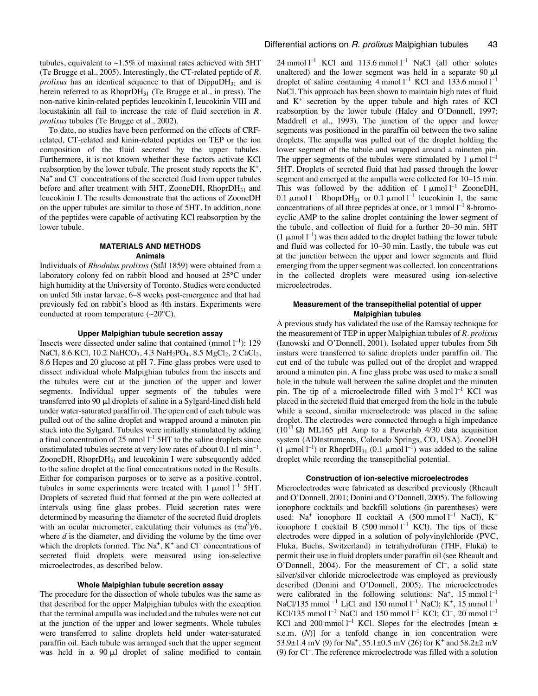tubules, equivalent to  $\sim$ 1.5% of maximal rates achieved with 5HT (Te Brugge et al., 2005). Interestingly, the CT-related peptide of *R. prolixus* has an identical sequence to that of DippuDH<sub>31</sub> and is herein referred to as RhoprDH<sub>31</sub> (Te Brugge et al., in press). The non-native kinin-related peptides leucokinin I, leucokinin VIII and locustakinin all fail to increase the rate of fluid secretion in *R. prolixus* tubules (Te Brugge et al., 2002).

To date, no studies have been performed on the effects of CRFrelated, CT-related and kinin-related peptides on TEP or the ion composition of the fluid secreted by the upper tubules. Furthermore, it is not known whether these factors activate KCl reabsorption by the lower tubule. The present study reports the  $K^+$ , Na<sup>+</sup> and Cl<sup>–</sup> concentrations of the secreted fluid from upper tubules before and after treatment with 5HT, ZooneDH,  $RhoprDH_{31}$  and leucokinin I. The results demonstrate that the actions of ZooneDH on the upper tubules are similar to those of 5HT. In addition, none of the peptides were capable of activating KCl reabsorption by the lower tubule.

## **MATERIALS AND METHODS Animals**

Individuals of *Rhodnius prolixus* (Stål 1859) were obtained from a laboratory colony fed on rabbit blood and housed at 25°C under high humidity at the University of Toronto. Studies were conducted on unfed 5th instar larvae, 6–8 weeks post-emergence and that had previously fed on rabbit's blood as 4th instars. Experiments were conducted at room temperature (~20°C).

#### **Upper Malpighian tubule secretion assay**

Insects were dissected under saline that contained (mmol  $l^{-1}$ ): 129 NaCl, 8.6 KCl, 10.2 NaHCO<sub>3</sub>, 4.3 NaH<sub>2</sub>PO<sub>4</sub>, 8.5 MgCl<sub>2</sub>, 2 CaCl<sub>2</sub>, 8.6 Hepes and 20 glucose at pH 7. Fine glass probes were used to dissect individual whole Malpighian tubules from the insects and the tubules were cut at the junction of the upper and lower segments. Individual upper segments of the tubules were transferred into 90  $\mu$ l droplets of saline in a Sylgard-lined dish held under water-saturated paraffin oil. The open end of each tubule was pulled out of the saline droplet and wrapped around a minuten pin stuck into the Sylgard. Tubules were initially stimulated by adding a final concentration of 25 nmol  $l^{-1}$  5HT to the saline droplets since unstimulated tubules secrete at very low rates of about  $0.1 \text{ n}$ l min<sup>-1</sup>. ZooneDH, Rhopr $DH_{31}$  and leucokinin I were subsequently added to the saline droplet at the final concentrations noted in the Results. Either for comparison purposes or to serve as a positive control, tubules in some experiments were treated with  $1 \mu$ mol  $l^{-1}$  5HT. Droplets of secreted fluid that formed at the pin were collected at intervals using fine glass probes. Fluid secretion rates were determined by measuring the diameter of the secreted fluid droplets with an ocular micrometer, calculating their volumes as  $(\pi d^3)/6$ , where *d* is the diameter, and dividing the volume by the time over which the droplets formed. The Na<sup>+</sup>, K<sup>+</sup> and Cl<sup>-</sup> concentrations of secreted fluid droplets were measured using ion-selective microelectrodes, as described below.

#### **Whole Malpighian tubule secretion assay**

The procedure for the dissection of whole tubules was the same as that described for the upper Malpighian tubules with the exception that the terminal ampulla was included and the tubules were not cut at the junction of the upper and lower segments. Whole tubules were transferred to saline droplets held under water-saturated paraffin oil. Each tubule was arranged such that the upper segment was held in a  $90 \mu l$  droplet of saline modified to contain

24 mmol  $l^{-1}$  KCl and 113.6 mmol  $l^{-1}$  NaCl (all other solutes unaltered) and the lower segment was held in a separate  $90 \mu l$ droplet of saline containing  $4 \text{ mmol } l^{-1}$  KCl and 133.6 mmol  $l^{-1}$ NaCl. This approach has been shown to maintain high rates of fluid and  $K^+$  secretion by the upper tubule and high rates of KCl reabsorption by the lower tubule (Haley and O'Donnell, 1997; Maddrell et al., 1993). The junction of the upper and lower segments was positioned in the paraffin oil between the two saline droplets. The ampulla was pulled out of the droplet holding the lower segment of the tubule and wrapped around a minuten pin. The upper segments of the tubules were stimulated by 1  $\mu$ mol  $l^{-1}$ 5HT. Droplets of secreted fluid that had passed through the lower segment and emerged at the ampulla were collected for 10–15 min. This was followed by the addition of  $1 \mu \text{mol}^{-1}$  ZooneDH, 0.1  $\mu$ mol l<sup>-1</sup> RhoprDH<sub>31</sub> or 0.1  $\mu$ mol l<sup>-1</sup> leucokinin I, the same concentrations of all three peptides at once, or 1 mmol  $l^{-1}$  8-bromocyclic AMP to the saline droplet containing the lower segment of the tubule, and collection of fluid for a further 20–30 min. 5HT (1  $\mu$ mol l<sup>-1</sup>) was then added to the droplet bathing the lower tubule and fluid was collected for 10–30 min. Lastly, the tubule was cut at the junction between the upper and lower segments and fluid emerging from the upper segment was collected. Ion concentrations in the collected droplets were measured using ion-selective microelectrodes.

## **Measurement of the transepithelial potential of upper Malpighian tubules**

A previous study has validated the use of the Ramsay technique for the measurement of TEP in upper Malpighian tubules of *R. prolixus* (Ianowski and O'Donnell, 2001). Isolated upper tubules from 5th instars were transferred to saline droplets under paraffin oil. The cut end of the tubule was pulled out of the droplet and wrapped around a minuten pin. A fine glass probe was used to make a small hole in the tubule wall between the saline droplet and the minuten pin. The tip of a microelectrode filled with  $3 \text{ mol} \, \text{l}^{-1}$  KCl was placed in the secreted fluid that emerged from the hole in the tubule while a second, similar microelectrode was placed in the saline droplet. The electrodes were connected through a high impedance ( $10^{13}$  Ω) ML165 pH Amp to a Powerlab 4/30 data acquisition system (ADInstruments, Colorado Springs, CO, USA). ZooneDH  $(1 \text{ }\mu\text{mol } l^{-1})$  or RhoprDH<sub>31</sub>  $(0.1 \text{ }\mu\text{mol } l^{-1})$  was added to the saline droplet while recording the transepithelial potential.

#### **Construction of ion-selective microelectrodes**

Microelectrodes were fabricated as described previously (Rheault and O'Donnell, 2001; Donini and O'Donnell, 2005). The following ionophore cocktails and backfill solutions (in parentheses) were used: Na<sup>+</sup> ionophore II cocktail A (500 mmol<sup>1-1</sup> NaCl), K<sup>+</sup> ionophore I cocktail B (500 mmol  $l^{-1}$  KCl). The tips of these electrodes were dipped in a solution of polyvinylchloride (PVC, Fluka, Buchs, Switzerland) in tetrahydrofuran (THF, Fluka) to permit their use in fluid droplets under paraffin oil (see Rheault and O'Donnell, 2004). For the measurement of Cl<sup>-</sup>, a solid state silver/silver chloride microelectrode was employed as previously described (Donini and O'Donnell, 2005). The microelectrodes were calibrated in the following solutions:  $Na^+$ , 15 mmol  $l^{-1}$ NaCl/135 mmol<sup>-1</sup> LiCl and 150 mmol<sup>1-1</sup> NaCl; K<sup>+</sup>, 15 mmol<sup>1-1</sup> KCl/135 mmol  $l^{-1}$  NaCl and 150 mmol  $l^{-1}$  KCl; Cl<sup>-</sup>, 20 mmol  $l^{-1}$ KCl and 200 mmol  $l^{-1}$  KCl. Slopes for the electrodes [mean  $\pm$ s.e.m. (*N*)] for a tenfold change in ion concentration were 53.9 $\pm$ 1.4 mV (9) for Na<sup>+</sup>, 55.1 $\pm$ 0.5 mV (26) for K<sup>+</sup> and 58.2 $\pm$ 2 mV (9) for Cl– . The reference microelectrode was filled with a solution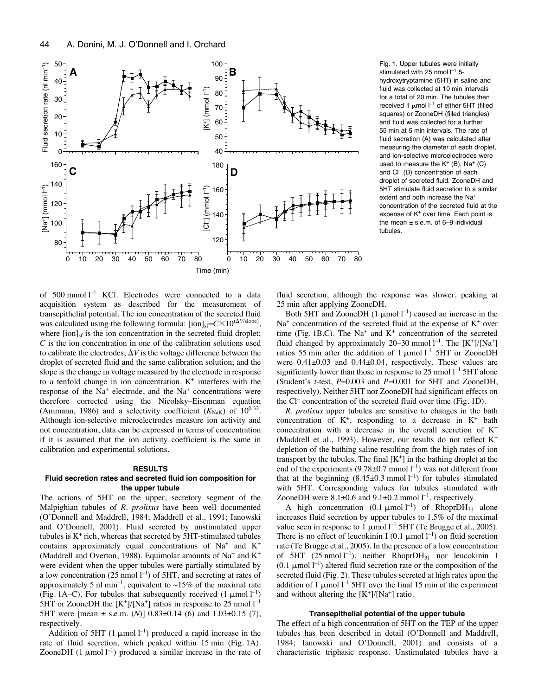

Fig. 1. Upper tubules were initially stimulated with 25 nmol  $l^{-1}$  5hydroxytryptamine (5HT) in saline and fluid was collected at 10 min intervals for a total of 20 min. The tubules then received 1  $\mu$ mol  $l^{-1}$  of either 5HT (filled squares) or ZooneDH (filled triangles) and fluid was collected for a further 55 min at 5 min intervals. The rate of fluid secretion (A) was calculated after measuring the diameter of each droplet, and ion-selective microelectrodes were used to measure the  $K^+$  (B), Na<sup>+</sup> (C) and Cl<sup>-</sup> (D) concentration of each droplet of secreted fluid. ZooneDH and 5HT stimulate fluid secretion to a similar extent and both increase the Na<sup>+</sup> concentration of the secreted fluid at the expense of K<sup>+</sup> over time. Each point is the mean  $\pm$  s.e.m. of 6-9 individual tubules.

of 500 mmol  $l^{-1}$  KCl. Electrodes were connected to a data acquisition system as described for the measurement of transepithelial potential. The ion concentration of the secreted fluid was calculated using the following formula:  $\frac{1}{\text{ion}}\left| \frac{\text{c}}{\text{c}} \times 10^{(\Delta V/\text{slope})} \right|$ , where  $\left[ \text{ion} \right]_{\text{sf}}$  is the ion concentration in the secreted fluid droplet; *C* is the ion concentration in one of the calibration solutions used to calibrate the electrodes;  $\Delta V$  is the voltage difference between the droplet of secreted fluid and the same calibration solution; and the slope is the change in voltage measured by the electrode in response to a tenfold change in ion concentration.  $K^+$  interferes with the response of the  $Na<sup>+</sup>$  electrode, and the  $Na<sup>+</sup>$  concentrations were therefore corrected using the Nicolsky–Eisenman equation (Ammann, 1986) and a selectivity coefficient  $(K_{\text{NaK}})$  of  $10^{0.32}$ . Although ion-selective microelectrodes measure ion activity and not concentration, data can be expressed in terms of concentration if it is assumed that the ion activity coefficient is the same in calibration and experimental solutions.

### **RESULTS**

## **Fluid secretion rates and secreted fluid ion composition for the upper tubule**

The actions of 5HT on the upper, secretory segment of the Malpighian tubules of *R. prolixus* have been well documented (O'Donnell and Maddrell, 1984; Maddrell et al., 1991; Ianowski and O'Donnell, 2001). Fluid secreted by unstimulated upper tubules is  $K^+$  rich, whereas that secreted by 5HT-stimulated tubules contains approximately equal concentrations of Na+ and K+ (Maddrell and Overton, 1988). Equimolar amounts of Na<sup>+</sup> and  $K^+$ were evident when the upper tubules were partially stimulated by a low concentration (25 nmol  $l^{-1}$ ) of 5HT, and secreting at rates of approximately 5 nl min<sup>-1</sup>, equivalent to  $\sim$ 15% of the maximal rate (Fig. 1A–C). For tubules that subsequently received  $(1 \mu mol l^{-1})$ 5HT or ZooneDH the  $[K^+]/[Na^+]$  ratios in response to 25 nmol  $l^{-1}$ 5HT were [mean ± s.e.m. (*N*)] 0.83±0.14 (6) and 1.03±0.15 (7), respectively.

Addition of 5HT (1  $\mu$ mol l<sup>-1</sup>) produced a rapid increase in the rate of fluid secretion, which peaked within 15 min (Fig. 1A). ZooneDH  $(1 \mu \text{mol} \, 1^{-1})$  produced a similar increase in the rate of fluid secretion, although the response was slower, peaking at 25 min after applying ZooneDH.

Both 5HT and ZooneDH  $(1 \mu \text{mol} \, \text{l}^{-1})$  caused an increase in the  $Na<sup>+</sup>$  concentration of the secreted fluid at the expense of  $K<sup>+</sup>$  over time (Fig. 1B,C). The Na<sup>+</sup> and  $K^+$  concentration of the secreted fluid changed by approximately 20–30 mmol  $l^{-1}$ . The  $[K^+]/[Na^+]$ ratios 55 min after the addition of 1  $\mu$ mol l<sup>-1</sup> 5HT or ZooneDH were 0.41±0.03 and 0.44±0.04, respectively. These values are significantly lower than those in response to  $25$  nmol  $l<sup>-1</sup>$  5HT alone (Student's *t*-test, *P*=0.003 and *P*=0.001 for 5HT and ZooneDH, respectively). Neither 5HT nor ZooneDH had significant effects on the  $Cl^-$  concentration of the secreted fluid over time (Fig. 1D).

*R. prolixus* upper tubules are sensitive to changes in the bath concentration of  $K^+$ , responding to a decrease in  $K^+$  bath concentration with a decrease in the overall secretion of K+ (Maddrell et al., 1993). However, our results do not reflect K+ depletion of the bathing saline resulting from the high rates of ion transport by the tubules. The final  $[K^+]$  in the bathing droplet at the end of the experiments (9.78 $\pm$ 0.7 mmol l<sup>-1</sup>) was not different from that at the beginning  $(8.45\pm0.3 \text{ mmol l}^{-1})$  for tubules stimulated with 5HT. Corresponding values for tubules stimulated with ZooneDH were  $8.1\pm0.6$  and  $9.1\pm0.2$  mmol  $l^{-1}$ , respectively.

A high concentration  $(0.1 \text{ }\mu\text{mol}\text{ } l^{-1})$  of RhoprDH<sub>31</sub> alone increases fluid secretion by upper tubules to 1.5% of the maximal value seen in response to 1  $\mu$ mol l<sup>-1</sup> 5HT (Te Brugge et al., 2005). There is no effect of leucokinin I (0.1  $\mu$ mol l<sup>-1</sup>) on fluid secretion rate (Te Brugge et al., 2005). In the presence of a low concentration of 5HT  $(25 \text{ nmol } l^{-1})$ , neither RhoprDH<sub>31</sub> nor leucokinin I (0.1  $\mu$ mol l<sup>-1</sup>) altered fluid secretion rate or the composition of the secreted fluid (Fig. 2). These tubules secreted at high rates upon the addition of 1  $\mu$ mol l<sup>-1</sup> 5HT over the final 15 min of the experiment and without altering the  $[K^+]/[Na^+]$  ratio.

#### **Transepithelial potential of the upper tubule**

The effect of a high concentration of 5HT on the TEP of the upper tubules has been described in detail (O'Donnell and Maddrell, 1984; Ianowski and O'Donnell, 2001) and consists of a characteristic triphasic response. Unstimulated tubules have a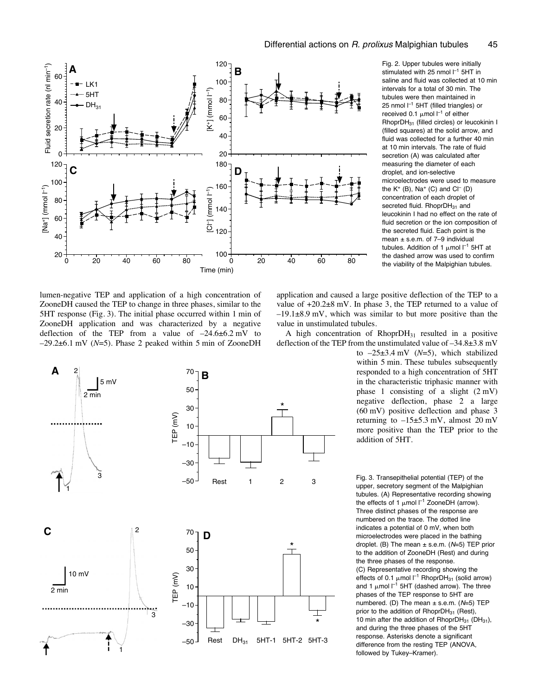

Fig. 2. Upper tubules were initially stimulated with 25 nmol  $\mathsf{I}^{-1}$  5HT in saline and fluid was collected at 10 min intervals for a total of 30 min. The tubules were then maintained in 25 nmol  $l^{-1}$  5HT (filled triangles) or received 0.1  $\mu$ mol l $^{-1}$  of either RhoprDH31 (filled circles) or leucokinin I (filled squares) at the solid arrow, and fluid was collected for a further 40 min at 10 min intervals. The rate of fluid secretion (A) was calculated after measuring the diameter of each droplet, and ion-selective microelectrodes were used to measure the  $K^+$  (B), Na<sup>+</sup> (C) and Cl<sup>-</sup> (D) concentration of each droplet of secreted fluid. RhoprDH<sub>31</sub> and leucokinin I had no effect on the rate of fluid secretion or the ion composition of the secreted fluid. Each point is the mean  $\pm$  s.e.m. of 7-9 individual tubules. Addition of 1  $\mu$ mol l $^{-1}$  5HT at the dashed arrow was used to confirm the viability of the Malpighian tubules.

lumen-negative TEP and application of a high concentration of ZooneDH caused the TEP to change in three phases, similar to the 5HT response (Fig. 3). The initial phase occurred within 1 min of ZooneDH application and was characterized by a negative deflection of the TEP from a value of  $-24.6\pm6.2$  mV to  $-29.2\pm6.1$  mV ( $N=5$ ). Phase 2 peaked within 5 min of ZooneDH



application and caused a large positive deflection of the TEP to a value of  $+20.2\pm8$  mV. In phase 3, the TEP returned to a value of  $-19.1\pm8.9$  mV, which was similar to but more positive than the value in unstimulated tubules.

A high concentration of  $RhoprDH_{31}$  resulted in a positive deflection of the TEP from the unstimulated value of  $-34.8\pm3.8~\mathrm{mV}$ 

to  $-25\pm3.4$  mV ( $N=5$ ), which stabilized within 5 min. These tubules subsequently responded to a high concentration of 5HT in the characteristic triphasic manner with phase 1 consisting of a slight  $(2 \text{ mV})$ negative deflection, phase 2 a large  $(60 \text{ mV})$  positive deflection and phase 3 returning to  $-15\pm5.3$  mV, almost 20 mV more positive than the TEP prior to the addition of 5HT.

Fig. 3. Transepithelial potential (TEP) of the upper, secretory segment of the Malpighian tubules. (A) Representative recording showing the effects of 1  $\mu$ mol  $l^{-1}$  ZooneDH (arrow). Three distinct phases of the response are numbered on the trace. The dotted line indicates a potential of 0 mV, when both microelectrodes were placed in the bathing droplet. (B) The mean  $\pm$  s.e.m. (N=5) TEP prior to the addition of ZooneDH (Rest) and during the three phases of the response. (C) Representative recording showing the effects of 0.1  $\mu$ mol  $l^{-1}$  RhoprDH<sub>31</sub> (solid arrow) and 1  $\mu$ mol  $I^{-1}$  5HT (dashed arrow). The three phases of the TEP response to 5HT are numbered. (D) The mean  $\pm$  s.e.m. ( $N=5$ ) TEP prior to the addition of  $RhoprDH_{31}$  (Rest), 10 min after the addition of RhoprDH $_{31}$  (DH $_{31}$ ), and during the three phases of the 5HT response. Asterisks denote a significant difference from the resting TEP (ANOVA, followed by Tukey–Kramer).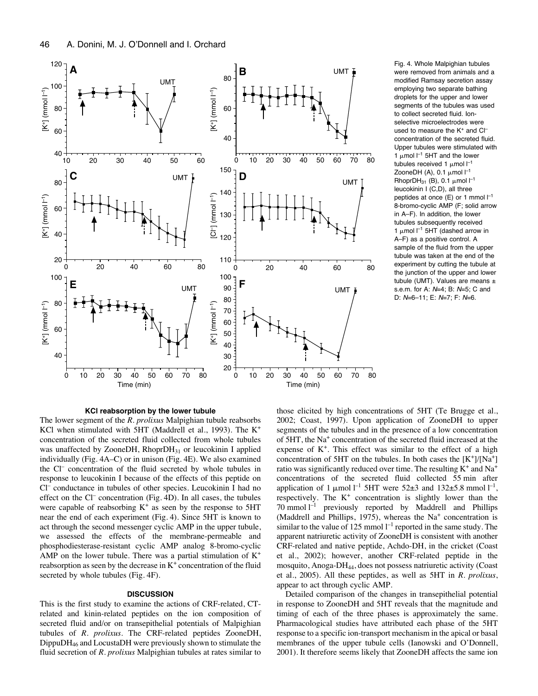

Fig. 4. Whole Malpighian tubules were removed from animals and a modified Ramsay secretion assay employing two separate bathing droplets for the upper and lower segments of the tubules was used to collect secreted fluid. Ionselective microelectrodes were used to measure the K<sup>+</sup> and Cl<sup>-</sup> concentration of the secreted fluid. Upper tubules were stimulated with 1  $\mu$ mol  $l^{-1}$  5HT and the lower tubules received 1  $\mu$ mol  $l^{-1}$ ZooneDH (A), 0.1  $\mu$ mol  $l^{-1}$ RhoprDH<sub>31</sub> (B), 0.1  $\mu$ mol  $l^{-1}$ leucokinin I (C,D), all three peptides at once (E) or 1 mmol  $I^{-1}$ 8-bromo-cyclic AMP (F; solid arrow in A–F). In addition, the lower tubules subsequently received 1  $\mu$ mol  $l^{-1}$  5HT (dashed arrow in A–F) as a positive control. A sample of the fluid from the upper tubule was taken at the end of the experiment by cutting the tubule at the junction of the upper and lower tubule (UMT). Values are means ± s.e.m. for A: N=4; B: N=5; C and D:  $N=6-11$ ; E:  $N=7$ ; F:  $N=6$ .

#### **KCl reabsorption by the lower tubule**

The lower segment of the *R. prolixus* Malpighian tubule reabsorbs KCl when stimulated with 5HT (Maddrell et al., 1993). The K+ concentration of the secreted fluid collected from whole tubules was unaffected by ZooneDH,  $RhoprDH_{31}$  or leucokinin I applied individually (Fig.  $4A-C$ ) or in unison (Fig.  $4E$ ). We also examined the Cl<sup>-</sup> concentration of the fluid secreted by whole tubules in response to leucokinin I because of the effects of this peptide on Cl– conductance in tubules of other species. Leucokinin I had no effect on the Cl<sup>-</sup> concentration (Fig. 4D). In all cases, the tubules were capable of reabsorbing  $K^+$  as seen by the response to 5HT near the end of each experiment (Fig. 4). Since 5HT is known to act through the second messenger cyclic AMP in the upper tubule, we assessed the effects of the membrane-permeable and phosphodiesterase-resistant cyclic AMP analog 8-bromo-cyclic AMP on the lower tubule. There was a partial stimulation of  $K^+$ reabsorption as seen by the decrease in  $K<sup>+</sup>$  concentration of the fluid secreted by whole tubules (Fig. 4F).

#### **DISCUSSION**

This is the first study to examine the actions of CRF-related, CTrelated and kinin-related peptides on the ion composition of secreted fluid and/or on transepithelial potentials of Malpighian tubules of *R. prolixus*. The CRF-related peptides ZooneDH, DippuDH46 and LocustaDH were previously shown to stimulate the fluid secretion of *R. prolixus* Malpighian tubules at rates similar to those elicited by high concentrations of 5HT (Te Brugge et al., 2002; Coast, 1997). Upon application of ZooneDH to upper segments of the tubules and in the presence of a low concentration of 5HT, the Na+ concentration of the secreted fluid increased at the expense of  $K^+$ . This effect was similar to the effect of a high concentration of 5HT on the tubules. In both cases the  $[K^+]/[Na^+]$ ratio was significantly reduced over time. The resulting  $K^+$  and  $Na^+$ concentrations of the secreted fluid collected 55 min after application of 1  $\mu$ mol l<sup>-1</sup> 5HT were 52 $\pm$ 3 and 132 $\pm$ 5.8 mmol l<sup>-1</sup>, respectively. The  $K^+$  concentration is slightly lower than the  $70$  mmol  $l^{-1}$  previously reported by Maddrell and Phillips (Maddrell and Phillips, 1975), whereas the  $Na<sup>+</sup>$  concentration is similar to the value of 125 mmol  $l^{-1}$  reported in the same study. The apparent natriuretic activity of ZooneDH is consistent with another CRF-related and native peptide, Achdo-DH, in the cricket (Coast et al., 2002); however, another CRF-related peptide in the mosquito, Anoga-DH44, does not possess natriuretic activity (Coast et al., 2005). All these peptides, as well as 5HT in *R. prolixus*, appear to act through cyclic AMP.

Detailed comparison of the changes in transepithelial potential in response to ZooneDH and 5HT reveals that the magnitude and timing of each of the three phases is approximately the same. Pharmacological studies have attributed each phase of the 5HT response to a specific ion-transport mechanism in the apical or basal membranes of the upper tubule cells (Ianowski and O'Donnell, 2001). It therefore seems likely that ZooneDH affects the same ion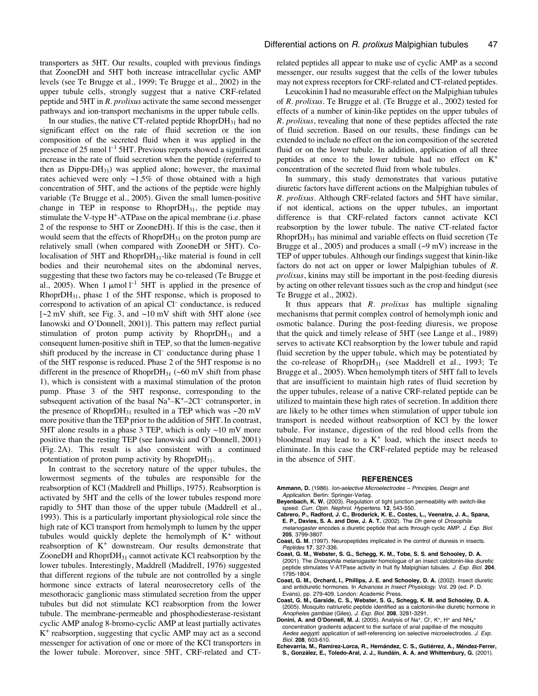transporters as 5HT. Our results, coupled with previous findings that ZooneDH and 5HT both increase intracellular cyclic AMP levels (see Te Brugge et al., 1999; Te Brugge et al., 2002) in the upper tubule cells, strongly suggest that a native CRF-related peptide and 5HT in *R. prolixus* activate the same second messenger pathways and ion-transport mechanisms in the upper tubule cells.

In our studies, the native CT-related peptide  $RhoprDH_{31}$  had no significant effect on the rate of fluid secretion or the ion composition of the secreted fluid when it was applied in the presence of 25 nmol  $l^{-1}$  5HT. Previous reports showed a significant increase in the rate of fluid secretion when the peptide (referred to then as  $Dippu-DH_{31}$ ) was applied alone; however, the maximal rates achieved were only  $\sim$ 1.5% of those obtained with a high concentration of 5HT, and the actions of the peptide were highly variable (Te Brugge et al., 2005). Given the small lumen-positive change in TEP in response to  $RhoprDH_{31}$ , the peptide may stimulate the V-type H<sup>+</sup>-ATPase on the apical membrane (i.e. phase 2 of the response to 5HT or ZooneDH). If this is the case, then it would seem that the effects of RhoprDH<sub>31</sub> on the proton pump are relatively small (when compared with ZooneDH or 5HT). Colocalisation of 5HT and RhoprDH<sub>31</sub>-like material is found in cell bodies and their neurohemal sites on the abdominal nerves, suggesting that these two factors may be co-released (Te Brugge et al., 2005). When 1  $\mu$ mol l<sup>-1</sup> 5HT is applied in the presence of Rhopr $DH_{31}$ , phase 1 of the 5HT response, which is proposed to correspond to activation of an apical Cl<sup>-</sup> conductance, is reduced  $[-2 \text{ mV shift}, \text{see Fig. 3}, \text{ and } -10 \text{ mV shift with 5HT alone (see)}$ Ianowski and O'Donnell, 2001)]. This pattern may reflect partial stimulation of proton pump activity by  $RhoprDH_{31}$  and a consequent lumen-positive shift in TEP, so that the lumen-negative shift produced by the increase in Cl<sup>-</sup> conductance during phase 1 of the 5HT response is reduced. Phase 2 of the 5HT response is no different in the presence of RhoprDH<sub>31</sub> ( $\sim$ 60 mV shift from phase 1), which is consistent with a maximal stimulation of the proton pump. Phase 3 of the 5HT response, corresponding to the subsequent activation of the basal  $Na^+–K^+–2Cl^-$  cotransporter, in the presence of RhoprDH<sub>31</sub> resulted in a TEP which was  $\sim$ 20 mV more positive than the TEP prior to the addition of 5HT. In contrast, 5HT alone results in a phase 3 TEP, which is only  $\sim$ 10 mV more positive than the resting TEP (see Ianowski and O'Donnell, 2001) (Fig. 2A). This result is also consistent with a continued potentiation of proton pump activity by  $RhoprDH_{31}$ .

In contrast to the secretory nature of the upper tubules, the lowermost segments of the tubules are responsible for the reabsorption of KCl (Maddrell and Phillips, 1975). Reabsorption is activated by 5HT and the cells of the lower tubules respond more rapidly to 5HT than those of the upper tubule (Maddrell et al., 1993). This is a particularly important physiological role since the high rate of KCl transport from hemolymph to lumen by the upper tubules would quickly deplete the hemolymph of  $K^+$  without reabsorption of K+ downstream. Our results demonstrate that ZooneDH and RhoprDH31 cannot activate KCl reabsorption by the lower tubules. Interestingly, Maddrell (Maddrell, 1976) suggested that different regions of the tubule are not controlled by a single hormone since extracts of lateral neurosecretory cells of the mesothoracic ganglionic mass stimulated secretion from the upper tubules but did not stimulate KCl reabsorption from the lower tubule. The membrane-permeable and phosphodiesterase-resistant cyclic AMP analog 8-bromo-cyclic AMP at least partially activates K+ reabsorption, suggesting that cyclic AMP may act as a second messenger for activation of one or more of the KCl transporters in the lower tubule. Moreover, since 5HT, CRF-related and CT- related peptides all appear to make use of cyclic AMP as a second messenger, our results suggest that the cells of the lower tubules may not express receptors for CRF-related and CT-related peptides.

Leucokinin I had no measurable effect on the Malpighian tubules of *R. prolixus*. Te Brugge et al. (Te Brugge et al., 2002) tested for effects of a number of kinin-like peptides on the upper tubules of *R. prolixus*, revealing that none of these peptides affected the rate of fluid secretion. Based on our results, these findings can be extended to include no effect on the ion composition of the secreted fluid or on the lower tubule. In addition, application of all three peptides at once to the lower tubule had no effect on K+ concentration of the secreted fluid from whole tubules.

In summary, this study demonstrates that various putative diuretic factors have different actions on the Malpighian tubules of *R. prolixus*. Although CRF-related factors and 5HT have similar, if not identical, actions on the upper tubules, an important difference is that CRF-related factors cannot activate KCl reabsorption by the lower tubule. The native CT-related factor RhoprDH31 has minimal and variable effects on fluid secretion (Te Brugge et al., 2005) and produces a small  $(-9 \text{ mV})$  increase in the TEP of upper tubules. Although our findings suggest that kinin-like factors do not act on upper or lower Malpighian tubules of *R. prolixus*, kinins may still be important in the post-feeding diuresis by acting on other relevant tissues such as the crop and hindgut (see Te Brugge et al., 2002).

It thus appears that *R. prolixus* has multiple signaling mechanisms that permit complex control of hemolymph ionic and osmotic balance. During the post-feeding diuresis, we propose that the quick and timely release of 5HT (see Lange et al., 1989) serves to activate KCl reabsorption by the lower tubule and rapid fluid secretion by the upper tubule, which may be potentiated by the co-release of  $RhoprDH_{31}$  (see Maddrell et al., 1993; Te Brugge et al., 2005). When hemolymph titers of 5HT fall to levels that are insufficient to maintain high rates of fluid secretion by the upper tubules, release of a native CRF-related peptide can be utilized to maintain these high rates of secretion. In addition there are likely to be other times when stimulation of upper tubule ion transport is needed without reabsorption of KCl by the lower tubule. For instance, digestion of the red blood cells from the bloodmeal may lead to a  $K^+$  load, which the insect needs to eliminate. In this case the CRF-related peptide may be released in the absence of 5HT.

#### **REFERENCES**

- **Ammann, D.** (1986). Ion-selective Microelectrodes Principles, Design and Application. Berlin: Springer-Verlag.
- **Beyenbach, K. W.** (2003). Regulation of tight junction permeability with switch-like speed. Curr. Opin. Nephrol. Hypertens. **12**, 543-550.
- **Cabrero, P., Radford, J. C., Broderick, K. E., Costes, L., Veenstra, J. A., Spana, E. P., Davies, S. A. and Dow, J. A. T.** (2002). The Dh gene of Drosophila melanogaster encodes a diuretic peptide that acts through cyclic AMP. J. Exp. Biol. **205**, 3799-3807.
- **Coast, G. M.** (1997). Neuropeptides implicated in the control of diuresis in insects. Peptides **17**, 327-336.
- **Coast, G. M., Webster, S. G., Schegg, K. M., Tobe, S. S. and Schooley, D. A.** (2001). The Drosophila melanogaster homologue of an insect calcitonin-like diuretic peptide stimulates V-ATPase activity in fruit fly Malpighian tubules. J. Exp. Biol. **204**, 1795-1804.
- **Coast, G. M., Orchard, I., Phillips, J. E. and Schooley, D. A.** (2002). Insect diuretic and antidiuretic hormones. In Advances in Insect Physiology. Vol. 29 (ed. P. D. Evans), pp. 279-409. London: Academic Press.
- **Coast, G. M., Garside, C. S., Webster, S. G., Schegg, K. M. and Schooley, D. A.** (2005). Mosquito natriuretic peptide identified as a calcitonin-like diuretic hormone in
- Anopheles gambiae (Giles), J. Exp. Biol. **208**, 3281-3291.<br>**Donini, A. and O'Donnell, M. J.** (2005). Analysis of Na<sup>+</sup>, Cl<sup>-</sup>, K<sup>+</sup>, H<sup>+</sup> and NH<sub>4</sub><sup>+</sup> concentration gradients adjacent to the surface of anal papillae of the mosquito Aedes aegypti: application of self-referencing ion selective microelectrodes. J. Exp. Biol. **208**, 603-610.
- **Echevarria, M., Ramirez-Lorca, R., Hernández, C. S., Gutiérrez, A., Méndez-Ferrer, S., González, E., Toledo-Aral, J. J., Ilundáin, A. A. and Whittembury, G.** (2001).